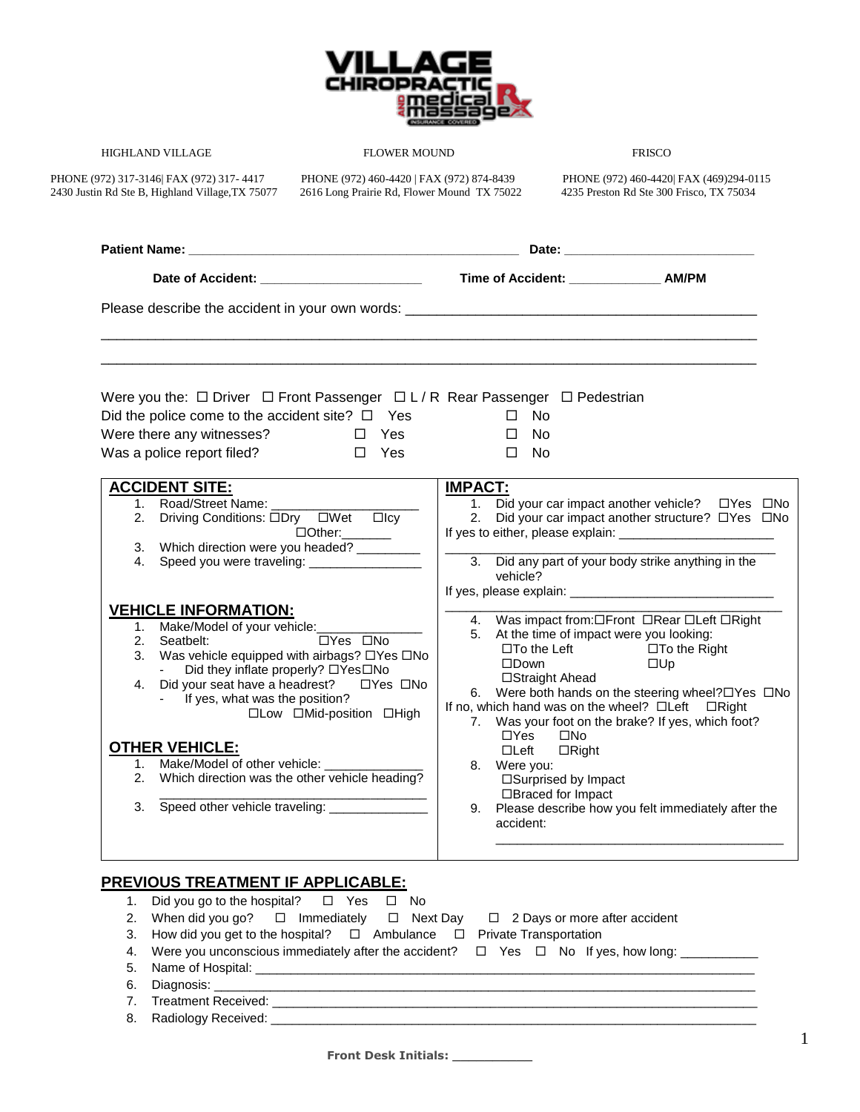

## HIGHLAND VILLAGE FLOWER MOUND FRISCO

2430 Justin Rd Ste B, Highland Village,TX 75077 2616 Long Prairie Rd, Flower Mound TX 75022 4235 Preston Rd Ste 300 Frisco, TX 75034

PHONE (972) 317-3146| FAX (972) 317- 4417 PHONE (972) 460-4420 | FAX (972) 874-8439 PHONE (972) 460-4420| FAX (469)294-0115

| Date of Accident: __________________________                                                                                                                                                                                                                                                                                                                                      | Time of Accident: _______________ AM/PM                                                                                                                                                                                                                                                                                                                                                                                                                                                     |  |  |  |
|-----------------------------------------------------------------------------------------------------------------------------------------------------------------------------------------------------------------------------------------------------------------------------------------------------------------------------------------------------------------------------------|---------------------------------------------------------------------------------------------------------------------------------------------------------------------------------------------------------------------------------------------------------------------------------------------------------------------------------------------------------------------------------------------------------------------------------------------------------------------------------------------|--|--|--|
|                                                                                                                                                                                                                                                                                                                                                                                   |                                                                                                                                                                                                                                                                                                                                                                                                                                                                                             |  |  |  |
| Were you the: $\Box$ Driver $\Box$ Front Passenger $\Box L/R$ Rear Passenger $\Box$ Pedestrian<br>Did the police come to the accident site? $\square$ Yes<br>Were there any witnesses?<br>D Yes<br>Was a police report filed?<br>D Yes                                                                                                                                            | $\square$ No<br>$\Box$ No<br>$\square$ No                                                                                                                                                                                                                                                                                                                                                                                                                                                   |  |  |  |
| <b>ACCIDENT SITE:</b><br>1. Road/Street Name:<br>2. Driving Conditions: ODry OWet Olcy<br>□Other:_______<br>3. Which direction were you headed? ________<br>4. Speed you were traveling: _________________                                                                                                                                                                        | <b>IMPACT:</b><br>1. Did your car impact another vehicle?<br>TYes DNo<br>2. Did your car impact another structure? □Yes □No<br>3. Did any part of your body strike anything in the<br>vehicle?                                                                                                                                                                                                                                                                                              |  |  |  |
| <b>VEHICLE INFORMATION:</b><br>1. Make/Model of your vehicle: ______________<br>□Yes □No<br>2. Seatbelt:<br>3. Was vehicle equipped with airbags? □Yes □No<br>Did they inflate properly? □Yes□No<br>- If yes, what was the position?<br>□Low □Mid-position □High<br><b>OTHER VEHICLE:</b><br>1. Make/Model of other vehicle:<br>2. Which direction was the other vehicle heading? | 4. Was impact from: OFront ORear OLeft ORight<br>5. At the time of impact were you looking:<br>$\square$ To the Left $\square$ To the Right<br>$\square$ Down<br>$\square$ Up<br>□Straight Ahead<br>6. Were both hands on the steering wheel?□Yes □No<br>If no, which hand was on the wheel? □Left □Right<br>7. Was your foot on the brake? If yes, which foot?<br>$\Box Y$ es<br>$\square$ No<br>$\Box$ Left<br>$\Box$ Right<br>8. Were you:<br>□Surprised by Impact<br>□Braced for Impact |  |  |  |

| 1. Did you go to the hospital? $\Box$ Yes $\Box$ No                                                       |
|-----------------------------------------------------------------------------------------------------------|
| 2. When did you go? $\Box$ Immediately $\Box$ Next Day $\Box$ 2 Days or more after accident               |
| 3. How did you get to the hospital? $\Box$ Ambulance $\Box$ Private Transportation                        |
| 4. Were you unconscious immediately after the accident? $\Box$ Yes $\Box$ No If yes, how long: __________ |
|                                                                                                           |
|                                                                                                           |
|                                                                                                           |
|                                                                                                           |
|                                                                                                           |

**Front Desk Initials: \_\_\_\_\_\_\_\_\_\_**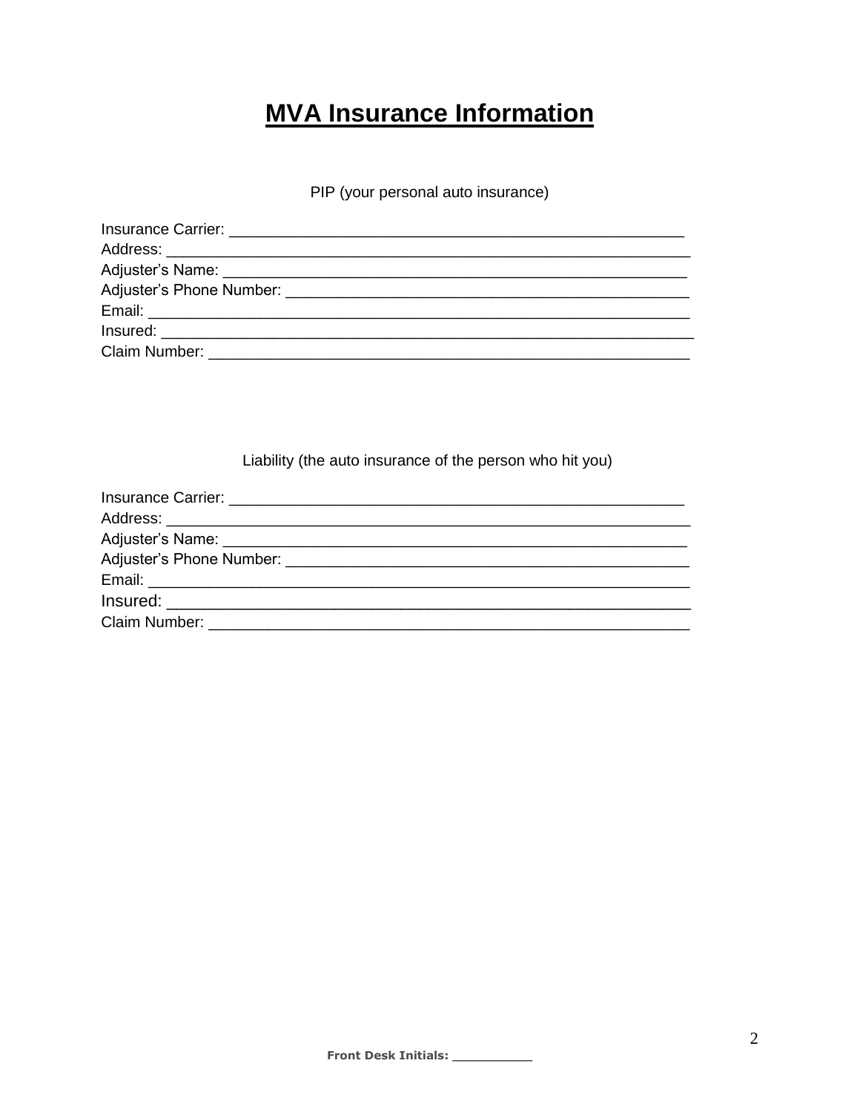## **MVA Insurance Information**

PIP (your personal auto insurance)

| Claim Number: University of the University of the University of the University of the University of the University of the University of the University of the University of the University of the University of the University |
|--------------------------------------------------------------------------------------------------------------------------------------------------------------------------------------------------------------------------------|

Liability (the auto insurance of the person who hit you)

| Claim Number: <b>Example 2018</b> |
|-----------------------------------|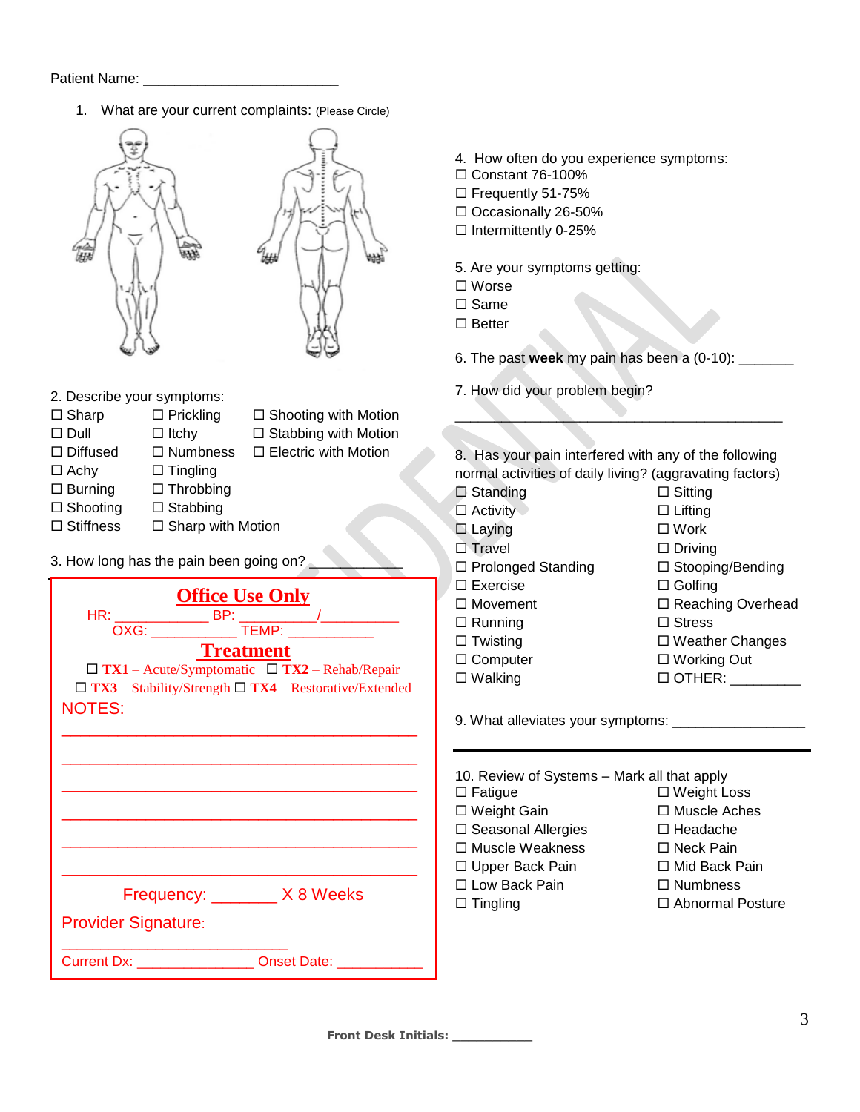1. What are your current complaints: (Please Circle)



- 2. Describe your symptoms:
- $\square$  Sharp  $\square$  Prickling  $\square$  Shooting with Motion
- 
- $\Box$  Dull  $\Box$  Itchy  $\Box$  Stabbing with Motion
- $\Box$  Diffused  $\Box$  Numbness  $\Box$  Electric with Motion
	-
- $\Box$  Achy  $\Box$  Tingling
- $\square$  Burning  $\square$  Throbbing
- $\square$  Shooting  $\square$  Stabbing
- $\Box$  Stiffness  $\Box$  Sharp with Motion
- 3. How long has the pain been going on?

| <b>Office Use Only</b>                                                           |
|----------------------------------------------------------------------------------|
|                                                                                  |
|                                                                                  |
| <b>Treatment</b>                                                                 |
| $\Box$ TX1 – Acute/Symptomatic $\Box$ TX2 – Rehab/Repair                         |
| $\Box$ TX3 – Stability/Strength $\Box$ TX4 – Restorative/Extended                |
| <b>NOTES:</b>                                                                    |
|                                                                                  |
|                                                                                  |
|                                                                                  |
|                                                                                  |
|                                                                                  |
|                                                                                  |
|                                                                                  |
|                                                                                  |
| Frequency: X8 Weeks                                                              |
|                                                                                  |
| <b>Provider Signature:</b>                                                       |
| <b>Current Dx:</b> Current Dx: Current Dx: Current Dx: Current Dx: Current Date: |
|                                                                                  |

- 4. How often do you experience symptoms:
- $\Box$  Constant 76-100%
- □ Frequently 51-75%
- Occasionally 26-50%
- $\square$  Intermittently 0-25%
- 5. Are your symptoms getting:
- Worse
- $\Box$  Same
- $\square$  Better

6. The past **week** my pain has been a (0-10): \_\_\_\_\_\_\_

7. How did your problem begin?

8. Has your pain interfered with any of the following normal activities of daily living? (aggravating factors)

 $\overline{\phantom{a}}$ 

| $\Box$ Standing           | $\Box$ Sitting           |
|---------------------------|--------------------------|
| $\Box$ Activity           | $\Box$ Lifting           |
| $\Box$ Laying             | $\square$ Work           |
| $\Box$ Travel             | $\Box$ Driving           |
| $\Box$ Prolonged Standing | $\Box$ Stooping/Bending  |
| $\Box$ Exercise           | $\Box$ Golfing           |
| $\Box$ Movement           | $\Box$ Reaching Overhead |
| $\Box$ Running            | $\Box$ Stress            |
| $\Box$ Twisting           | $\Box$ Weather Changes   |
| $\Box$ Computer           | $\Box$ Working Out       |
| $\Box$ Walking            | $\Box$ OTHER:            |
|                           |                          |

9. What alleviates your symptoms: \_\_\_\_\_\_\_\_\_\_\_\_\_\_\_\_\_

| 10. Review of Systems - Mark all that apply |                         |
|---------------------------------------------|-------------------------|
| $\Box$ Fatigue                              | □ Weight Loss           |
| □ Weight Gain                               | □ Muscle Aches          |
| □ Seasonal Allergies                        | □ Headache              |
| □ Muscle Weakness                           | □ Neck Pain             |
| □ Upper Back Pain                           | □ Mid Back Pain         |
| □ Low Back Pain                             | $\Box$ Numbness         |
| $\Box$ Tingling                             | $\Box$ Abnormal Posture |
|                                             |                         |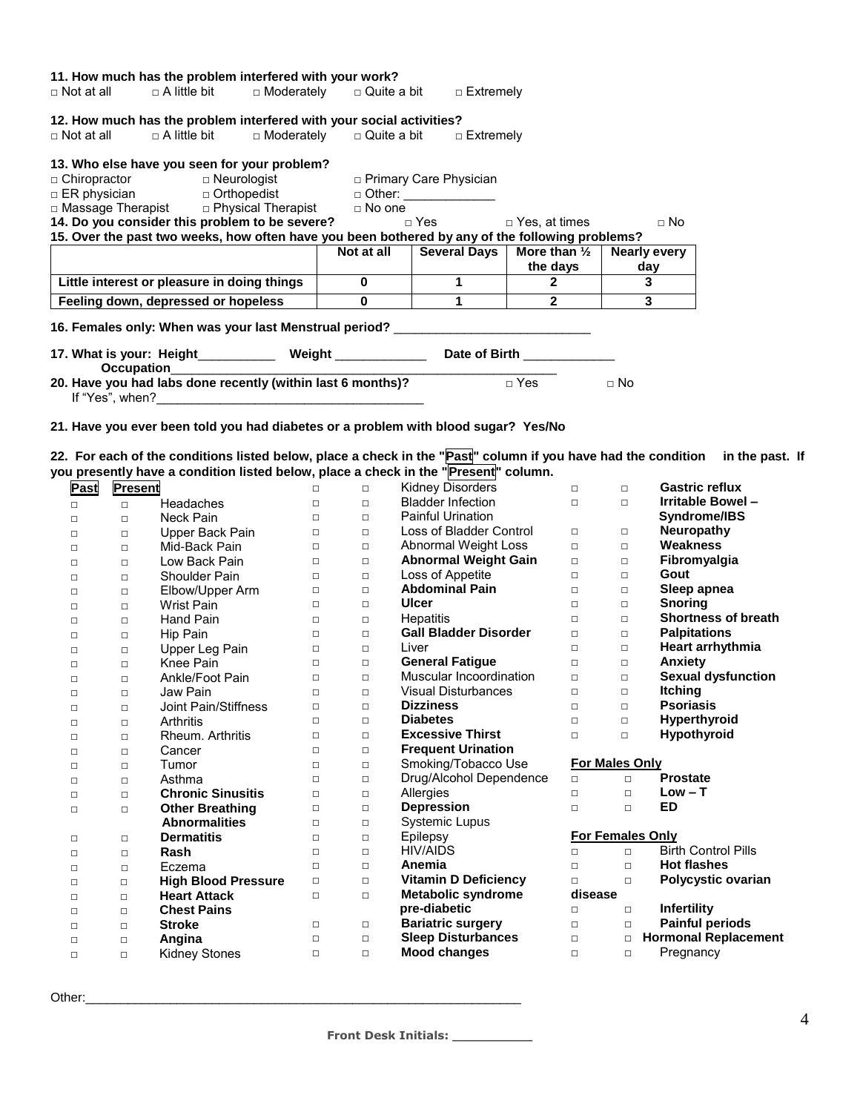| 11. How much has the problem interfered with your work?                                         |              |                                                   |                          |                |
|-------------------------------------------------------------------------------------------------|--------------|---------------------------------------------------|--------------------------|----------------|
| $\Box$ Not at all $\Box$ A little bit $\Box$ Moderately $\Box$ Quite a bit $\Box$ Extremely     |              |                                                   |                          |                |
| 12. How much has the problem interfered with your social activities?                            |              |                                                   |                          |                |
| $\Box$ Not at all $\Box$ A little bit $\Box$ Moderately $\Box$ Quite a bit $\Box$ Extremely     |              |                                                   |                          |                |
| 13. Who else have you seen for your problem?                                                    |              |                                                   |                          |                |
|                                                                                                 |              |                                                   |                          |                |
|                                                                                                 |              |                                                   |                          |                |
|                                                                                                 |              |                                                   |                          |                |
| 14. Do you consider this problem to be severe?                                                  |              | □ Yes by Pes, at times by Do No                   |                          |                |
| 15. Over the past two weeks, how often have you been bothered by any of the following problems? |              |                                                   |                          |                |
|                                                                                                 |              | Not at all Several Days   More than $\frac{1}{2}$ |                          | Nearly every   |
|                                                                                                 |              |                                                   | the days $ $             | day            |
| Little interest or pleasure in doing things                                                     | $\mathbf{0}$ |                                                   | $\sim$ 2 and 2           | 3              |
| Feeling down, depressed or hopeless                                                             | $\mathbf{0}$ | $1 \quad \blacksquare$                            | $\overline{\phantom{a}}$ | 3 <sup>1</sup> |
| 16. Females only: When was your last Menstrual period? _________________________                |              |                                                   |                          |                |
| 17. What is your: Height____________ Weight ______________ Date of Birth ____________           |              |                                                   |                          |                |
| Occupation<br>20. Have you had labs done recently (within last 6 months)? □ Yes                 |              |                                                   |                          |                |
|                                                                                                 |              |                                                   |                          | $\Box$ No      |

**22. For each of the conditions listed below, place a check in the "Past" column if you have had the condition in the past. If** 

|        |         |                            |        |        | you presently have a condition listed below, place a check in the " <mark>Present</mark> " column. |         |                       |                             |
|--------|---------|----------------------------|--------|--------|----------------------------------------------------------------------------------------------------|---------|-----------------------|-----------------------------|
| Past   | Present |                            | $\Box$ | $\Box$ | <b>Kidney Disorders</b>                                                                            | $\Box$  | $\Box$                | <b>Gastric reflux</b>       |
| $\Box$ | $\Box$  | Headaches                  | $\Box$ | $\Box$ | <b>Bladder Infection</b>                                                                           | $\Box$  | $\Box$                | Irritable Bowel-            |
| $\Box$ | $\Box$  | <b>Neck Pain</b>           | $\Box$ | $\Box$ | <b>Painful Urination</b>                                                                           |         |                       | Syndrome/IBS                |
| $\Box$ | $\Box$  | Upper Back Pain            | $\Box$ | $\Box$ | Loss of Bladder Control                                                                            | $\Box$  | $\Box$                | <b>Neuropathy</b>           |
| $\Box$ | $\Box$  | Mid-Back Pain              | $\Box$ | $\Box$ | Abnormal Weight Loss                                                                               | $\Box$  | $\Box$                | Weakness                    |
| $\Box$ | $\Box$  | Low Back Pain              | $\Box$ | $\Box$ | <b>Abnormal Weight Gain</b>                                                                        | $\Box$  | $\Box$                | Fibromyalgia                |
| $\Box$ | $\Box$  | <b>Shoulder Pain</b>       | $\Box$ | $\Box$ | Loss of Appetite                                                                                   | $\Box$  | $\Box$                | Gout                        |
| $\Box$ | $\Box$  | Elbow/Upper Arm            | $\Box$ | $\Box$ | <b>Abdominal Pain</b>                                                                              | $\Box$  | $\Box$                | Sleep apnea                 |
| $\Box$ | $\Box$  | <b>Wrist Pain</b>          | $\Box$ | $\Box$ | <b>Ulcer</b>                                                                                       | $\Box$  | $\Box$                | <b>Snoring</b>              |
| $\Box$ | $\Box$  | <b>Hand Pain</b>           | $\Box$ | $\Box$ | Hepatitis                                                                                          | $\Box$  | $\Box$                | <b>Shortness of breath</b>  |
| $\Box$ | $\Box$  | Hip Pain                   | $\Box$ | $\Box$ | <b>Gall Bladder Disorder</b>                                                                       | $\Box$  | $\Box$                | <b>Palpitations</b>         |
| □      | $\Box$  | Upper Leg Pain             | $\Box$ | $\Box$ | Liver                                                                                              | $\Box$  | $\Box$                | Heart arrhythmia            |
| $\Box$ | $\Box$  | Knee Pain                  | $\Box$ | $\Box$ | <b>General Fatique</b>                                                                             | $\Box$  | $\Box$                | <b>Anxiety</b>              |
| $\Box$ | $\Box$  | Ankle/Foot Pain            | $\Box$ | $\Box$ | Muscular Incoordination                                                                            | $\Box$  | $\Box$                | <b>Sexual dysfunction</b>   |
| $\Box$ | $\Box$  | Jaw Pain                   | $\Box$ | $\Box$ | <b>Visual Disturbances</b>                                                                         | $\Box$  | $\Box$                | <b>Itching</b>              |
| $\Box$ | $\Box$  | Joint Pain/Stiffness       | $\Box$ | $\Box$ | <b>Dizziness</b>                                                                                   | $\Box$  | $\Box$                | <b>Psoriasis</b>            |
| $\Box$ | $\Box$  | Arthritis                  | $\Box$ | $\Box$ | <b>Diabetes</b>                                                                                    | $\Box$  | $\Box$                | Hyperthyroid                |
| $\Box$ | $\Box$  | Rheum. Arthritis           | $\Box$ | $\Box$ | <b>Excessive Thirst</b>                                                                            | $\Box$  | $\Box$                | Hypothyroid                 |
| $\Box$ | $\Box$  | Cancer                     | $\Box$ | $\Box$ | <b>Frequent Urination</b>                                                                          |         |                       |                             |
| $\Box$ | $\Box$  | Tumor                      | $\Box$ | $\Box$ | Smoking/Tobacco Use                                                                                |         | <b>For Males Only</b> |                             |
| $\Box$ | $\Box$  | Asthma                     | $\Box$ | $\Box$ | Drug/Alcohol Dependence                                                                            | $\Box$  | $\Box$                | <b>Prostate</b>             |
| $\Box$ | $\Box$  | <b>Chronic Sinusitis</b>   | $\Box$ | $\Box$ | Allergies                                                                                          | $\Box$  | $\Box$                | $Low - T$                   |
| $\Box$ | $\Box$  | <b>Other Breathing</b>     | $\Box$ | $\Box$ | <b>Depression</b>                                                                                  | $\Box$  | $\Box$                | ED                          |
|        |         | <b>Abnormalities</b>       | $\Box$ | $\Box$ | <b>Systemic Lupus</b>                                                                              |         |                       |                             |
| $\Box$ | $\Box$  | <b>Dermatitis</b>          | $\Box$ | $\Box$ | Epilepsy                                                                                           |         | For Females Only      |                             |
| $\Box$ | $\Box$  | Rash                       | $\Box$ | $\Box$ | <b>HIV/AIDS</b>                                                                                    | П.      | $\Box$                | <b>Birth Control Pills</b>  |
| $\Box$ | $\Box$  | Eczema                     | $\Box$ | $\Box$ | Anemia                                                                                             | $\Box$  | $\Box$                | <b>Hot flashes</b>          |
| $\Box$ | $\Box$  | <b>High Blood Pressure</b> | $\Box$ | $\Box$ | <b>Vitamin D Deficiency</b>                                                                        | $\Box$  | П.                    | Polycystic ovarian          |
| $\Box$ | $\Box$  | <b>Heart Attack</b>        | $\Box$ | $\Box$ | <b>Metabolic syndrome</b>                                                                          | disease |                       |                             |
| $\Box$ | $\Box$  | <b>Chest Pains</b>         |        |        | pre-diabetic                                                                                       | $\Box$  | $\Box$                | Infertility                 |
| $\Box$ | $\Box$  | <b>Stroke</b>              | $\Box$ | $\Box$ | <b>Bariatric surgery</b>                                                                           | $\Box$  | $\Box$                | <b>Painful periods</b>      |
| □      | $\Box$  | Angina                     | $\Box$ | $\Box$ | <b>Sleep Disturbances</b>                                                                          | $\Box$  | $\Box$                | <b>Hormonal Replacement</b> |
| $\Box$ | $\Box$  | Kidney Stones              | $\Box$ | $\Box$ | <b>Mood changes</b>                                                                                | $\Box$  | $\Box$                | Pregnancy                   |
|        |         |                            |        |        |                                                                                                    |         |                       |                             |